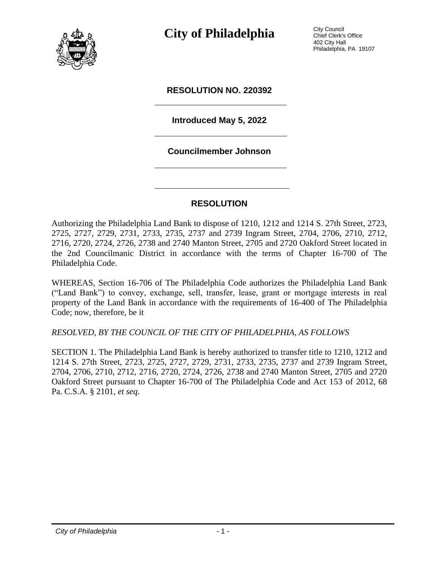

**City of Philadelphia** City Council

Chief Clerk's Office 402 City Hall Philadelphia, PA 19107

### **RESOLUTION NO. 220392**

## **Introduced May 5, 2022**

### **Councilmember Johnson**

### **RESOLUTION**

Authorizing the Philadelphia Land Bank to dispose of 1210, 1212 and 1214 S. 27th Street, 2723, 2725, 2727, 2729, 2731, 2733, 2735, 2737 and 2739 Ingram Street, 2704, 2706, 2710, 2712, 2716, 2720, 2724, 2726, 2738 and 2740 Manton Street, 2705 and 2720 Oakford Street located in the 2nd Councilmanic District in accordance with the terms of Chapter 16-700 of The Philadelphia Code.

WHEREAS, Section 16-706 of The Philadelphia Code authorizes the Philadelphia Land Bank ("Land Bank") to convey, exchange, sell, transfer, lease, grant or mortgage interests in real property of the Land Bank in accordance with the requirements of 16-400 of The Philadelphia Code; now, therefore, be it

#### *RESOLVED, BY THE COUNCIL OF THE CITY OF PHILADELPHIA, AS FOLLOWS*

SECTION 1. The Philadelphia Land Bank is hereby authorized to transfer title to 1210, 1212 and 1214 S. 27th Street, 2723, 2725, 2727, 2729, 2731, 2733, 2735, 2737 and 2739 Ingram Street, 2704, 2706, 2710, 2712, 2716, 2720, 2724, 2726, 2738 and 2740 Manton Street, 2705 and 2720 Oakford Street pursuant to Chapter 16-700 of The Philadelphia Code and Act 153 of 2012, 68 Pa. C.S.A. § 2101, *et seq*.